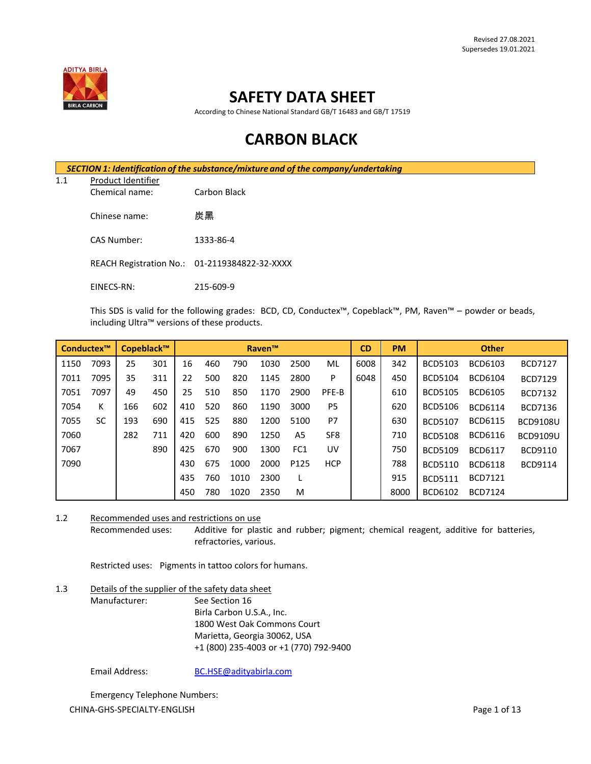

# **SAFETY DATA SHEET**

According to Chinese National Standard GB/T 16483 and GB/T 17519

# **CARBON BLACK**

|     |                    | SECTION 1: Identification of the substance/mixture and of the company/undertaking |  |
|-----|--------------------|-----------------------------------------------------------------------------------|--|
| 1.1 | Product Identifier |                                                                                   |  |
|     | Chemical name:     | Carbon Black                                                                      |  |
|     | Chinese name:      | 炭黑                                                                                |  |
|     | CAS Number:        | 1333-86-4                                                                         |  |
|     |                    | REACH Registration No.: 01-2119384822-32-XXXX                                     |  |
|     | EINECS-RN:         | 215-609-9                                                                         |  |
|     |                    |                                                                                   |  |

This SDS is valid for the following grades: BCD, CD, Conductex™, Copeblack™, PM, Raven™ – powder or beads, including Ultra™ versions of these products.

| Conductex™ |      | Copeblack™ |     |     |     |      | <b>Raven™</b> |                 |                 | <b>CD</b> | <b>PM</b> |                | <b>Other</b>   |                 |
|------------|------|------------|-----|-----|-----|------|---------------|-----------------|-----------------|-----------|-----------|----------------|----------------|-----------------|
| 1150       | 7093 | 25         | 301 | 16  | 460 | 790  | 1030          | 2500            | ML              | 6008      | 342       | <b>BCD5103</b> | BCD6103        | <b>BCD7127</b>  |
| 7011       | 7095 | 35         | 311 | 22  | 500 | 820  | 1145          | 2800            | P               | 6048      | 450       | <b>BCD5104</b> | <b>BCD6104</b> | <b>BCD7129</b>  |
| 7051       | 7097 | 49         | 450 | 25  | 510 | 850  | 1170          | 2900            | PFE-B           |           | 610       | <b>BCD5105</b> | <b>BCD6105</b> | <b>BCD7132</b>  |
| 7054       | K    | 166        | 602 | 410 | 520 | 860  | 1190          | 3000            | P <sub>5</sub>  |           | 620       | <b>BCD5106</b> | <b>BCD6114</b> | BCD7136         |
| 7055       | SC   | 193        | 690 | 415 | 525 | 880  | 1200          | 5100            | P7              |           | 630       | <b>BCD5107</b> | <b>BCD6115</b> | <b>BCD9108U</b> |
| 7060       |      | 282        | 711 | 420 | 600 | 890  | 1250          | A5              | SF <sub>8</sub> |           | 710       | <b>BCD5108</b> | <b>BCD6116</b> | <b>BCD9109U</b> |
| 7067       |      |            | 890 | 425 | 670 | 900  | 1300          | FC <sub>1</sub> | UV              |           | 750       | <b>BCD5109</b> | <b>BCD6117</b> | BCD9110         |
| 7090       |      |            |     | 430 | 675 | 1000 | 2000          | P125            | <b>HCP</b>      |           | 788       | <b>BCD5110</b> | <b>BCD6118</b> | <b>BCD9114</b>  |
|            |      |            |     | 435 | 760 | 1010 | 2300          |                 |                 |           | 915       | <b>BCD5111</b> | <b>BCD7121</b> |                 |
|            |      |            |     | 450 | 780 | 1020 | 2350          | M               |                 |           | 8000      | BCD6102        | <b>BCD7124</b> |                 |

# 1.2 Recommended uses and restrictions on use

Recommended uses: Additive for plastic and rubber; pigment; chemical reagent, additive for batteries, refractories, various.

Restricted uses: Pigments in tattoo colors for humans.

1.3 Details of the supplier of the safety data sheet Manufacturer: See Section 16 Birla Carbon U.S.A., Inc. 1800 West Oak Commons Court Marietta, Georgia 30062, USA +1 (800) 235-4003 or +1 (770) 792-9400

Email Address: [BC.HSE@adityabirla.com](mailto:BC.HSE@adityabirla.com)

CHINA-GHS-SPECIALTY-ENGLISH **Page 1 of 13** Emergency Telephone Numbers: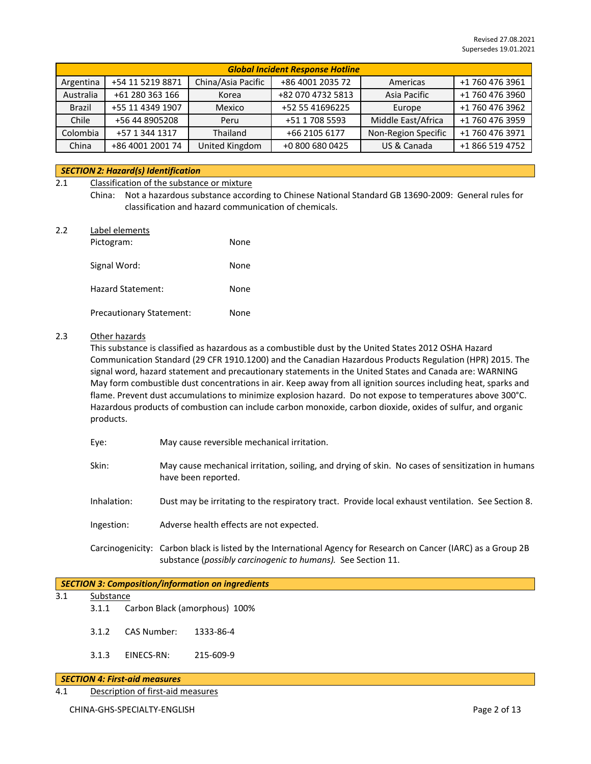|           | <b>Global Incident Response Hotline</b> |                    |                   |                     |                 |
|-----------|-----------------------------------------|--------------------|-------------------|---------------------|-----------------|
| Argentina | +54 11 5219 8871                        | China/Asia Pacific | +86 4001 2035 72  | Americas            | +1 760 476 3961 |
| Australia | +61 280 363 166                         | Korea              | +82 070 4732 5813 | Asia Pacific        | +1 760 476 3960 |
| Brazil    | +55 11 4349 1907                        | Mexico             | +52 55 41696225   | Europe              | +1 760 476 3962 |
| Chile     | +56 44 8905208                          | Peru               | +51 1 708 5593    | Middle East/Africa  | +1 760 476 3959 |
| Colombia  | +57 1 344 1317                          | Thailand           | +66 2105 6177     | Non-Region Specific | +1 760 476 3971 |
| China     | +86 4001 2001 74                        | United Kingdom     | +0 800 680 0425   | US & Canada         | +1 866 519 4752 |

# *SECTION 2: Hazard(s) Identification*

## 2.1 Classification of the substance or mixture

2.2 Label elements Pictogram: None Signal Word: None Hazard Statement: None Precautionary Statement: None

# 2.3 Other hazards

This substance is classified as hazardous as a combustible dust by the United States 2012 OSHA Hazard Communication Standard (29 CFR 1910.1200) and the Canadian Hazardous Products Regulation (HPR) 2015. The signal word, hazard statement and precautionary statements in the United States and Canada are: WARNING May form combustible dust concentrations in air. Keep away from all ignition sources including heat, sparks and flame. Prevent dust accumulations to minimize explosion hazard. Do not expose to temperatures above 300°C. Hazardous products of combustion can include carbon monoxide, carbon dioxide, oxides of sulfur, and organic products.

- Eye: May cause reversible mechanical irritation.
- Skin: May cause mechanical irritation, soiling, and drying of skin. No cases of sensitization in humans have been reported.
- Inhalation: Dust may be irritating to the respiratory tract. Provide local exhaust ventilation. See Section 8.
- Ingestion: Adverse health effects are not expected.
- Carcinogenicity: Carbon black is listed by the International Agency for Research on Cancer (IARC) as a Group 2B substance (*possibly carcinogenic to humans).* See Section 11.

## *SECTION 3: Composition/information on ingredients*

## 3.1 Substance

- 3.1.1 Carbon Black (amorphous) 100%
- 3.1.2 CAS Number: 1333-86-4
- 3.1.3 EINECS-RN: 215-609-9

# *SECTION 4: First-aid measures*

4.1 Description of first-aid measures

China: Not a hazardous substance according to Chinese National Standard GB 13690-2009: General rules for classification and hazard communication of chemicals.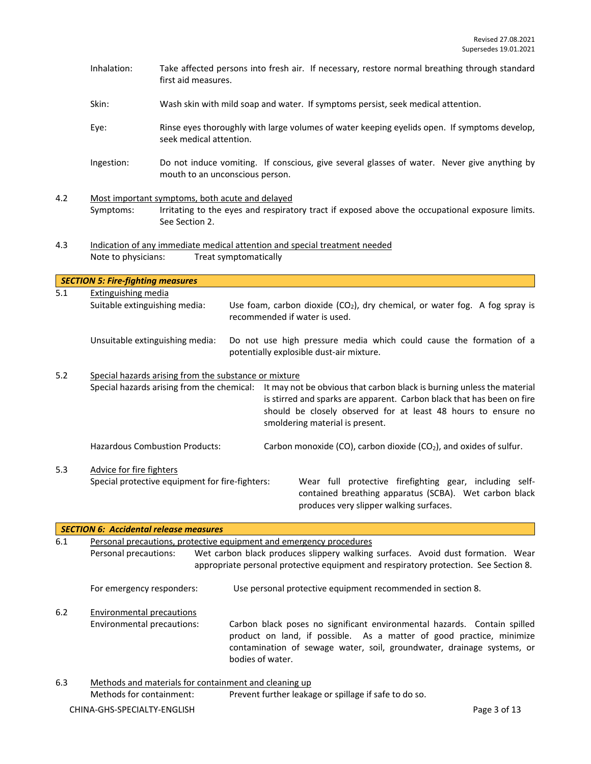- Inhalation: Take affected persons into fresh air. If necessary, restore normal breathing through standard first aid measures.
- Skin: Wash skin with mild soap and water. If symptoms persist, seek medical attention.
- Eye: Rinse eyes thoroughly with large volumes of water keeping eyelids open. If symptoms develop, seek medical attention.
- Ingestion: Do not induce vomiting. If conscious, give several glasses of water. Never give anything by mouth to an unconscious person.
- 4.2 Most important symptoms, both acute and delayed Symptoms: Irritating to the eyes and respiratory tract if exposed above the occupational exposure limits. See Section 2.
- 4.3 Indication of any immediate medical attention and special treatment needed Note to physicians: Treat symptomatically

|     | <b>SECTION 5: Fire-fighting measures</b>              |  |                                                                                                                                                                                                                                                      |  |  |  |
|-----|-------------------------------------------------------|--|------------------------------------------------------------------------------------------------------------------------------------------------------------------------------------------------------------------------------------------------------|--|--|--|
| 5.1 | Extinguishing media                                   |  |                                                                                                                                                                                                                                                      |  |  |  |
|     | Suitable extinguishing media:                         |  | Use foam, carbon dioxide $(CO2)$ , dry chemical, or water fog. A fog spray is<br>recommended if water is used.                                                                                                                                       |  |  |  |
|     | Unsuitable extinguishing media:                       |  | Do not use high pressure media which could cause the formation of a<br>potentially explosible dust-air mixture.                                                                                                                                      |  |  |  |
| 5.2 | Special hazards arising from the substance or mixture |  |                                                                                                                                                                                                                                                      |  |  |  |
|     | Special hazards arising from the chemical:            |  | It may not be obvious that carbon black is burning unless the material<br>is stirred and sparks are apparent. Carbon black that has been on fire<br>should be closely observed for at least 48 hours to ensure no<br>smoldering material is present. |  |  |  |
|     | <b>Hazardous Combustion Products:</b>                 |  | Carbon monoxide (CO), carbon dioxide (CO <sub>2</sub> ), and oxides of sulfur.                                                                                                                                                                       |  |  |  |
| 5.3 | Advice for fire fighters                              |  |                                                                                                                                                                                                                                                      |  |  |  |
|     | Special protective equipment for fire-fighters:       |  | Wear full protective firefighting gear, including self-                                                                                                                                                                                              |  |  |  |

produces very slipper walking surfaces. *SECTION 6: Accidental release measures* 6.1 Personal precautions, protective equipment and emergency procedures Personal precautions: Wet carbon black produces slippery walking surfaces. Avoid dust formation. Wear appropriate personal protective equipment and respiratory protection. See Section 8. For emergency responders: Use personal protective equipment recommended in section 8. 6.2 Environmental precautions Environmental precautions: Carbon black poses no significant environmental hazards. Contain spilled product on land, if possible. As a matter of good practice, minimize contamination of sewage water, soil, groundwater, drainage systems, or bodies of water. 6.3 Methods and materials for containment and cleaning up Methods for containment: Prevent further leakage or spillage if safe to do so.

contained breathing apparatus (SCBA). Wet carbon black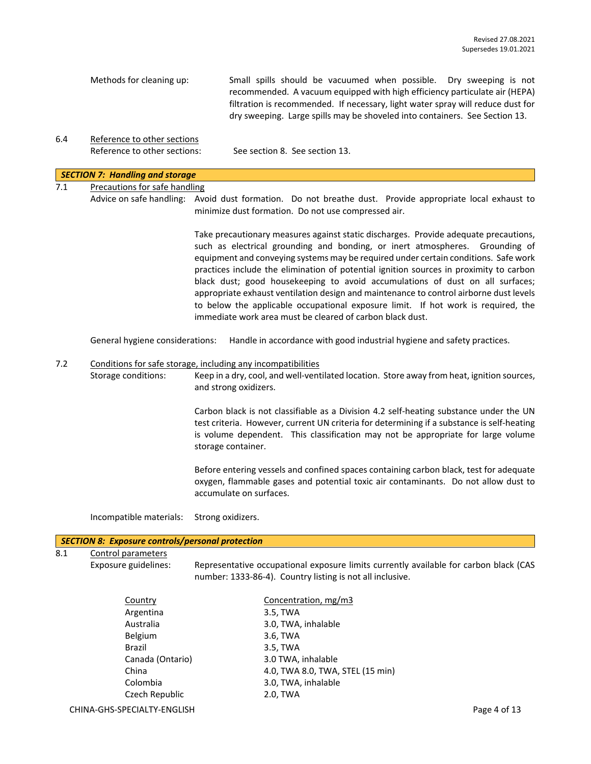| Methods for cleaning up: | Small spills should be vacuumed when possible. Dry sweeping is not              |
|--------------------------|---------------------------------------------------------------------------------|
|                          | recommended. A vacuum equipped with high efficiency particulate air (HEPA)      |
|                          | filtration is recommended. If necessary, light water spray will reduce dust for |
|                          | dry sweeping. Large spills may be shoveled into containers. See Section 13.     |

6.4 Reference to other sections Reference to other sections: See section 8. See section 13.

# *SECTION 7: Handling and storage*

# 7.1 Precautions for safe handling

Advice on safe handling: Avoid dust formation. Do not breathe dust. Provide appropriate local exhaust to minimize dust formation. Do not use compressed air.

> Take precautionary measures against static discharges. Provide adequate precautions, such as electrical grounding and bonding, or inert atmospheres. Grounding of equipment and conveying systems may be required under certain conditions. Safe work practices include the elimination of potential ignition sources in proximity to carbon black dust; good housekeeping to avoid accumulations of dust on all surfaces; appropriate exhaust ventilation design and maintenance to control airborne dust levels to below the applicable occupational exposure limit. If hot work is required, the immediate work area must be cleared of carbon black dust.

General hygiene considerations: Handle in accordance with good industrial hygiene and safety practices.

#### 7.2 Conditions for safe storage, including any incompatibilities

Storage conditions: Keep in a dry, cool, and well-ventilated location. Store away from heat, ignition sources, and strong oxidizers.

> Carbon black is not classifiable as a Division 4.2 self-heating substance under the UN test criteria. However, current UN criteria for determining if a substance is self-heating is volume dependent. This classification may not be appropriate for large volume storage container.

> Before entering vessels and confined spaces containing carbon black, test for adequate oxygen, flammable gases and potential toxic air contaminants. Do not allow dust to accumulate on surfaces.

Incompatible materials: Strong oxidizers.

|     | SECTION 8: Exposure controls/personal protection |
|-----|--------------------------------------------------|
| 8.1 | Control parameters                               |

Exposure guidelines: Representative occupational exposure limits currently available for carbon black (CAS number: 1333-86-4). Country listing is not all inclusive.

| Country          | Concentration, mg/m3             |
|------------------|----------------------------------|
| Argentina        | 3.5, TWA                         |
| Australia        | 3.0, TWA, inhalable              |
| <b>Belgium</b>   | 3.6, TWA                         |
| <b>Brazil</b>    | 3.5, TWA                         |
| Canada (Ontario) | 3.0 TWA, inhalable               |
| China            | 4.0, TWA 8.0, TWA, STEL (15 min) |
| Colombia         | 3.0, TWA, inhalable              |
| Czech Republic   | 2.0, TWA                         |
|                  |                                  |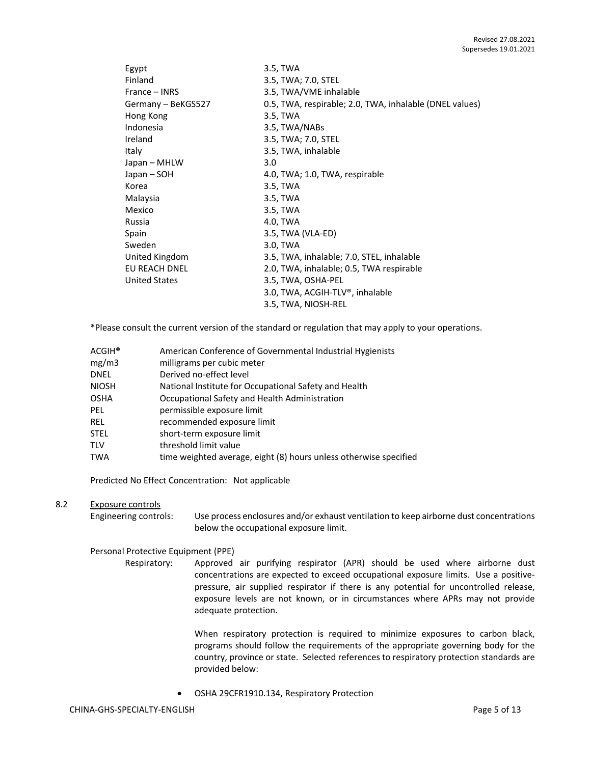| Egypt                | 3.5, TWA                                                |
|----------------------|---------------------------------------------------------|
| Finland              | 3.5, TWA; 7.0, STEL                                     |
| France – INRS        | 3.5, TWA/VME inhalable                                  |
| Germany - BeKGS527   | 0.5, TWA, respirable; 2.0, TWA, inhalable (DNEL values) |
| Hong Kong            | 3.5, TWA                                                |
| Indonesia            | 3.5, TWA/NABs                                           |
| Ireland              | 3.5, TWA; 7.0, STEL                                     |
| Italy                | 3.5, TWA, inhalable                                     |
| Japan – MHLW         | 3.0                                                     |
| Japan – SOH          | 4.0, TWA; 1.0, TWA, respirable                          |
| Korea                | 3.5, TWA                                                |
| Malaysia             | 3.5, TWA                                                |
| Mexico               | 3.5, TWA                                                |
| Russia               | 4.0, TWA                                                |
| Spain                | 3.5, TWA (VLA-ED)                                       |
| Sweden               | 3.0, TWA                                                |
| United Kingdom       | 3.5, TWA, inhalable; 7.0, STEL, inhalable               |
| <b>EU REACH DNEL</b> | 2.0, TWA, inhalable; 0.5, TWA respirable                |
| <b>United States</b> | 3.5, TWA, OSHA-PEL                                      |
|                      | 3.0, TWA, ACGIH-TLV®, inhalable                         |
|                      | 3.5, TWA, NIOSH-REL                                     |

\*Please consult the current version of the standard or regulation that may apply to your operations.

| <b>ACGIH®</b> | American Conference of Governmental Industrial Hygienists         |
|---------------|-------------------------------------------------------------------|
| mg/m3         | milligrams per cubic meter                                        |
| <b>DNEL</b>   | Derived no-effect level                                           |
| <b>NIOSH</b>  | National Institute for Occupational Safety and Health             |
| <b>OSHA</b>   | Occupational Safety and Health Administration                     |
| PEL.          | permissible exposure limit                                        |
| <b>REL</b>    | recommended exposure limit                                        |
| <b>STEL</b>   | short-term exposure limit                                         |
| <b>TLV</b>    | threshold limit value                                             |
| <b>TWA</b>    | time weighted average, eight (8) hours unless otherwise specified |
|               |                                                                   |

Predicted No Effect Concentration: Not applicable

# 8.2 Exposure controls

Engineering controls: Use process enclosures and/or exhaust ventilation to keep airborne dust concentrations below the occupational exposure limit.

# Personal Protective Equipment (PPE)

Respiratory: Approved air purifying respirator (APR) should be used where airborne dust concentrations are expected to exceed occupational exposure limits. Use a positivepressure, air supplied respirator if there is any potential for uncontrolled release, exposure levels are not known, or in circumstances where APRs may not provide adequate protection.

> When respiratory protection is required to minimize exposures to carbon black, programs should follow the requirements of the appropriate governing body for the country, province or state. Selected references to respiratory protection standards are provided below:

• OSHA 29CFR1910.134, Respiratory Protection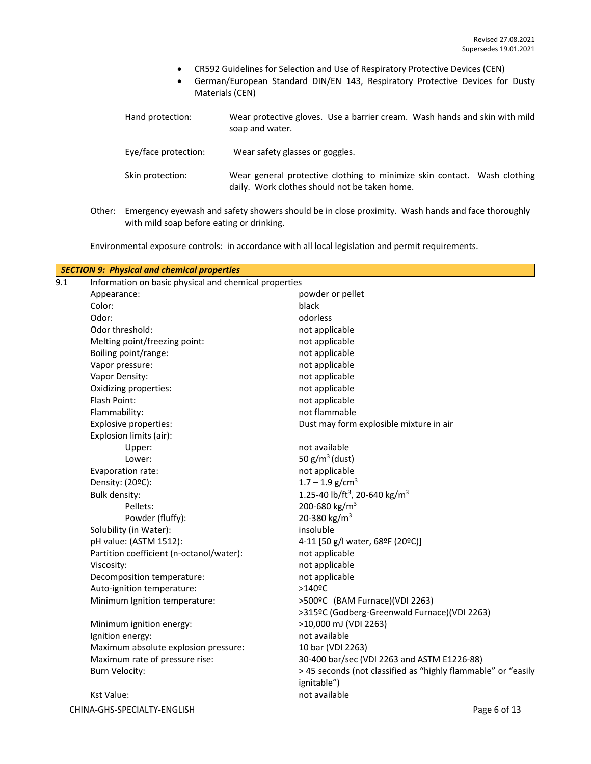- CR592 Guidelines for Selection and Use of Respiratory Protective Devices (CEN)
- German/European Standard DIN/EN 143, Respiratory Protective Devices for Dusty Materials (CEN)

| Hand protection:     | Wear protective gloves. Use a barrier cream. Wash hands and skin with mild<br>soap and water.                             |
|----------------------|---------------------------------------------------------------------------------------------------------------------------|
| Eye/face protection: | Wear safety glasses or goggles.                                                                                           |
| Skin protection:     | Wear general protective clothing to minimize skin contact. Wash clothing<br>daily. Work clothes should not be taken home. |

Other: Emergency eyewash and safety showers should be in close proximity. Wash hands and face thoroughly with mild soap before eating or drinking.

Environmental exposure controls: in accordance with all local legislation and permit requirements.

| 9.1 |                                          | Information on basic physical and chemical properties                        |  |  |  |  |  |  |
|-----|------------------------------------------|------------------------------------------------------------------------------|--|--|--|--|--|--|
|     | Appearance:                              | powder or pellet                                                             |  |  |  |  |  |  |
|     | Color:                                   | black                                                                        |  |  |  |  |  |  |
|     | Odor:                                    | odorless                                                                     |  |  |  |  |  |  |
|     | Odor threshold:                          | not applicable                                                               |  |  |  |  |  |  |
|     | Melting point/freezing point:            | not applicable                                                               |  |  |  |  |  |  |
|     | Boiling point/range:                     | not applicable                                                               |  |  |  |  |  |  |
|     | Vapor pressure:                          | not applicable                                                               |  |  |  |  |  |  |
|     | Vapor Density:                           | not applicable                                                               |  |  |  |  |  |  |
|     | Oxidizing properties:                    | not applicable                                                               |  |  |  |  |  |  |
|     | Flash Point:                             | not applicable                                                               |  |  |  |  |  |  |
|     | Flammability:                            | not flammable                                                                |  |  |  |  |  |  |
|     | <b>Explosive properties:</b>             | Dust may form explosible mixture in air                                      |  |  |  |  |  |  |
|     | Explosion limits (air):                  |                                                                              |  |  |  |  |  |  |
|     | Upper:                                   | not available                                                                |  |  |  |  |  |  |
|     | Lower:                                   | 50 $g/m^3$ (dust)                                                            |  |  |  |  |  |  |
|     | Evaporation rate:                        | not applicable                                                               |  |  |  |  |  |  |
|     | Density: (20ºC):                         | $1.7 - 1.9$ g/cm <sup>3</sup>                                                |  |  |  |  |  |  |
|     | Bulk density:                            | 1.25-40 lb/ft <sup>3</sup> , 20-640 kg/m <sup>3</sup>                        |  |  |  |  |  |  |
|     | Pellets:                                 | 200-680 kg/m <sup>3</sup>                                                    |  |  |  |  |  |  |
|     | Powder (fluffy):                         | 20-380 kg/m <sup>3</sup>                                                     |  |  |  |  |  |  |
|     | Solubility (in Water):                   | insoluble                                                                    |  |  |  |  |  |  |
|     | pH value: (ASTM 1512):                   | 4-11 [50 g/l water, 68ºF (20ºC)]                                             |  |  |  |  |  |  |
|     | Partition coefficient (n-octanol/water): | not applicable                                                               |  |  |  |  |  |  |
|     | Viscosity:                               | not applicable                                                               |  |  |  |  |  |  |
|     | Decomposition temperature:               | not applicable                                                               |  |  |  |  |  |  |
|     | Auto-ignition temperature:               | $>140$ <sup>o</sup> C                                                        |  |  |  |  |  |  |
|     | Minimum Ignition temperature:            | >500ºC (BAM Furnace)(VDI 2263)                                               |  |  |  |  |  |  |
|     |                                          | >315ºC (Godberg-Greenwald Furnace)(VDI 2263)                                 |  |  |  |  |  |  |
|     | Minimum ignition energy:                 | >10,000 mJ (VDI 2263)                                                        |  |  |  |  |  |  |
|     | Ignition energy:                         | not available                                                                |  |  |  |  |  |  |
|     | Maximum absolute explosion pressure:     | 10 bar (VDI 2263)                                                            |  |  |  |  |  |  |
|     | Maximum rate of pressure rise:           | 30-400 bar/sec (VDI 2263 and ASTM E1226-88)                                  |  |  |  |  |  |  |
|     | <b>Burn Velocity:</b>                    | > 45 seconds (not classified as "highly flammable" or "easily<br>ignitable") |  |  |  |  |  |  |
|     | Kst Value:                               | not available                                                                |  |  |  |  |  |  |
|     | CHINA-GHS-SPECIALTY-ENGLISH              | Page 6 of 13                                                                 |  |  |  |  |  |  |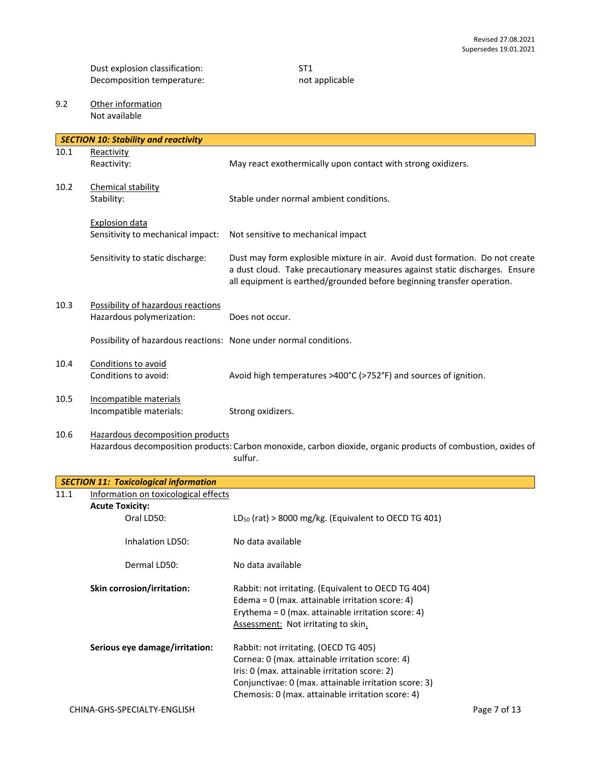# 9.2 Other information Not available

|      | <b>SECTION 10: Stability and reactivity</b>                       |                                                                                                                                                                                                                                       |  |  |  |
|------|-------------------------------------------------------------------|---------------------------------------------------------------------------------------------------------------------------------------------------------------------------------------------------------------------------------------|--|--|--|
| 10.1 | Reactivity<br>Reactivity:                                         | May react exothermically upon contact with strong oxidizers.                                                                                                                                                                          |  |  |  |
| 10.2 | Chemical stability<br>Stability:                                  | Stable under normal ambient conditions.                                                                                                                                                                                               |  |  |  |
|      | <b>Explosion data</b><br>Sensitivity to mechanical impact:        | Not sensitive to mechanical impact                                                                                                                                                                                                    |  |  |  |
|      | Sensitivity to static discharge:                                  | Dust may form explosible mixture in air. Avoid dust formation. Do not create<br>a dust cloud. Take precautionary measures against static discharges. Ensure<br>all equipment is earthed/grounded before beginning transfer operation. |  |  |  |
| 10.3 | Possibility of hazardous reactions<br>Hazardous polymerization:   | Does not occur.                                                                                                                                                                                                                       |  |  |  |
|      | Possibility of hazardous reactions: None under normal conditions. |                                                                                                                                                                                                                                       |  |  |  |
| 10.4 | Conditions to avoid<br>Conditions to avoid:                       | Avoid high temperatures >400°C (>752°F) and sources of ignition.                                                                                                                                                                      |  |  |  |
| 10.5 | Incompatible materials<br>Incompatible materials:                 | Strong oxidizers.                                                                                                                                                                                                                     |  |  |  |

10.6 Hazardous decomposition products Hazardous decomposition products: Carbon monoxide, carbon dioxide, organic products of combustion, oxides of sulfur.

|      | <b>SECTION 11: Toxicological information</b> |                                                                                                                                                                                                                                                         |              |
|------|----------------------------------------------|---------------------------------------------------------------------------------------------------------------------------------------------------------------------------------------------------------------------------------------------------------|--------------|
| 11.1 | Information on toxicological effects         |                                                                                                                                                                                                                                                         |              |
|      | <b>Acute Toxicity:</b>                       |                                                                                                                                                                                                                                                         |              |
|      | Oral LD50:                                   | $LD_{50}$ (rat) > 8000 mg/kg. (Equivalent to OECD TG 401)                                                                                                                                                                                               |              |
|      | Inhalation LD50:                             | No data available                                                                                                                                                                                                                                       |              |
|      | Dermal LD50:                                 | No data available                                                                                                                                                                                                                                       |              |
|      | Skin corrosion/irritation:                   | Rabbit: not irritating. (Equivalent to OECD TG 404)<br>Edema = $0$ (max. attainable irritation score: 4)<br>Erythema = $0$ (max. attainable irritation score: 4)<br>Assessment: Not irritating to skin.                                                 |              |
|      | Serious eye damage/irritation:               | Rabbit: not irritating. (OECD TG 405)<br>Cornea: 0 (max. attainable irritation score: 4)<br>Iris: 0 (max. attainable irritation score: 2)<br>Conjunctivae: 0 (max. attainable irritation score: 3)<br>Chemosis: 0 (max. attainable irritation score: 4) |              |
|      | CHINA-GHS-SPECIALTY-ENGLISH                  |                                                                                                                                                                                                                                                         | Page 7 of 13 |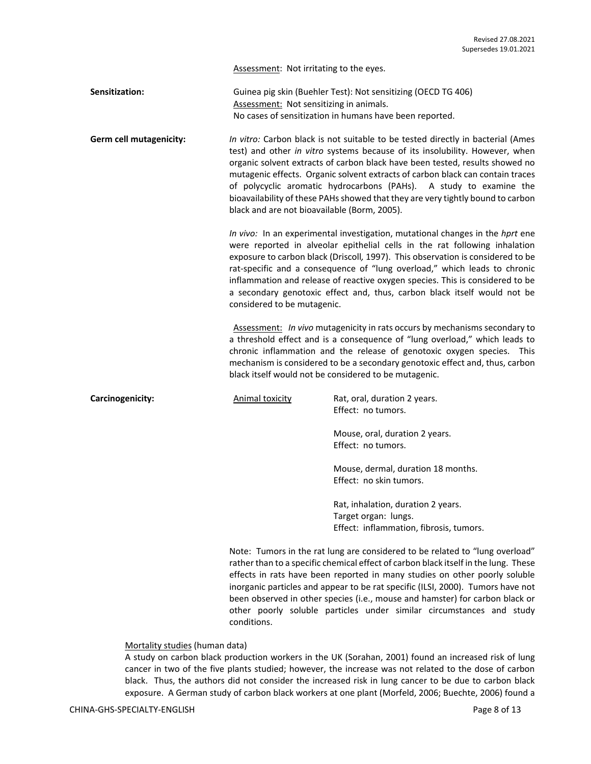Assessment: Not irritating to the eyes.

| <b>Sensitization:</b> | Guinea pig skin (Buehler Test): Not sensitizing (OECD TG 406) |
|-----------------------|---------------------------------------------------------------|
|                       | Assessment: Not sensitizing in animals.                       |
|                       | No cases of sensitization in humans have been reported.       |

**Germ cell mutagenicity:** *In vitro:* Carbon black is not suitable to be tested directly in bacterial (Ames test) and other *in vitro* systems because of its insolubility. However, when organic solvent extracts of carbon black have been tested, results showed no mutagenic effects. Organic solvent extracts of carbon black can contain traces of polycyclic aromatic hydrocarbons (PAHs). A study to examine the bioavailability of these PAHs showed that they are very tightly bound to carbon black and are not bioavailable (Borm, 2005).

> *In vivo:* In an experimental investigation, mutational changes in the *hprt* ene were reported in alveolar epithelial cells in the rat following inhalation exposure to carbon black (Driscoll*,* 1997). This observation is considered to be rat-specific and a consequence of "lung overload," which leads to chronic inflammation and release of reactive oxygen species. This is considered to be a secondary genotoxic effect and, thus, carbon black itself would not be considered to be mutagenic.

> Assessment: *In vivo* mutagenicity in rats occurs by mechanisms secondary to a threshold effect and is a consequence of "lung overload," which leads to chronic inflammation and the release of genotoxic oxygen species. This mechanism is considered to be a secondary genotoxic effect and, thus, carbon black itself would not be considered to be mutagenic.

**Carcinogenicity:** Animal toxicity Rat, oral, duration 2 years. Effect: no tumors.

> Mouse, oral, duration 2 years. Effect: no tumors.

Mouse, dermal, duration 18 months. Effect: no skin tumors.

Rat, inhalation, duration 2 years. Target organ: lungs. Effect: inflammation, fibrosis, tumors.

Note: Tumors in the rat lung are considered to be related to "lung overload" rather than to a specific chemical effect of carbon black itself in the lung. These effects in rats have been reported in many studies on other poorly soluble inorganic particles and appear to be rat specific (ILSI, 2000). Tumors have not been observed in other species (i.e., mouse and hamster) for carbon black or other poorly soluble particles under similar circumstances and study conditions.

## Mortality studies (human data)

A study on carbon black production workers in the UK (Sorahan, 2001) found an increased risk of lung cancer in two of the five plants studied; however, the increase was not related to the dose of carbon black. Thus, the authors did not consider the increased risk in lung cancer to be due to carbon black exposure. A German study of carbon black workers at one plant (Morfeld, 2006; Buechte, 2006) found a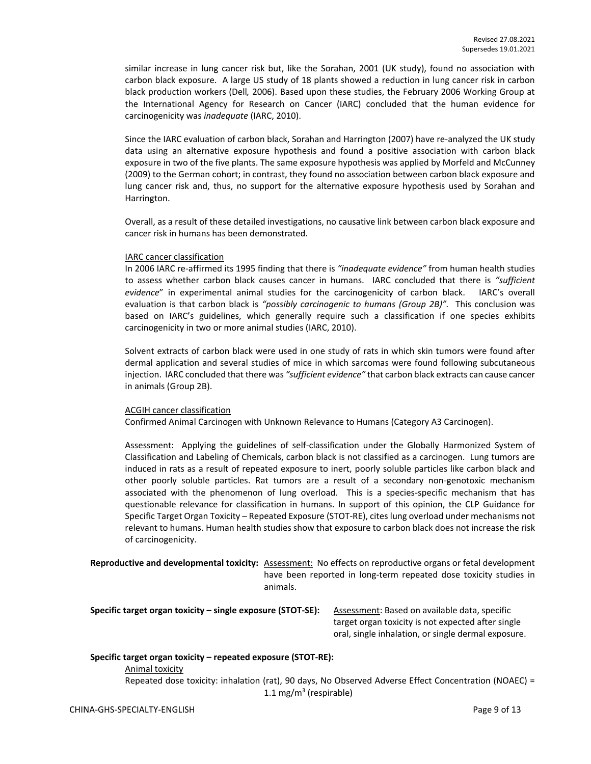similar increase in lung cancer risk but, like the Sorahan, 2001 (UK study), found no association with carbon black exposure. A large US study of 18 plants showed a reduction in lung cancer risk in carbon black production workers (Dell*,* 2006). Based upon these studies, the February 2006 Working Group at the International Agency for Research on Cancer (IARC) concluded that the human evidence for carcinogenicity was *inadequate* (IARC, 2010).

Since the IARC evaluation of carbon black, Sorahan and Harrington (2007) have re-analyzed the UK study data using an alternative exposure hypothesis and found a positive association with carbon black exposure in two of the five plants. The same exposure hypothesis was applied by Morfeld and McCunney (2009) to the German cohort; in contrast, they found no association between carbon black exposure and lung cancer risk and, thus, no support for the alternative exposure hypothesis used by Sorahan and Harrington.

Overall, as a result of these detailed investigations, no causative link between carbon black exposure and cancer risk in humans has been demonstrated.

## IARC cancer classification

In 2006 IARC re-affirmed its 1995 finding that there is *"inadequate evidence"* from human health studies to assess whether carbon black causes cancer in humans. IARC concluded that there is *"sufficient evidence*" in experimental animal studies for the carcinogenicity of carbon black. IARC's overall evaluation is that carbon black is *"possibly carcinogenic to humans (Group 2B)".* This conclusion was based on IARC's guidelines, which generally require such a classification if one species exhibits carcinogenicity in two or more animal studies (IARC, 2010).

Solvent extracts of carbon black were used in one study of rats in which skin tumors were found after dermal application and several studies of mice in which sarcomas were found following subcutaneous injection. IARC concluded that there was *"sufficient evidence"* that carbon black extracts can cause cancer in animals (Group 2B).

#### ACGIH cancer classification

Confirmed Animal Carcinogen with Unknown Relevance to Humans (Category A3 Carcinogen).

Assessment: Applying the guidelines of self-classification under the Globally Harmonized System of Classification and Labeling of Chemicals, carbon black is not classified as a carcinogen. Lung tumors are induced in rats as a result of repeated exposure to inert, poorly soluble particles like carbon black and other poorly soluble particles. Rat tumors are a result of a secondary non-genotoxic mechanism associated with the phenomenon of lung overload. This is a species-specific mechanism that has questionable relevance for classification in humans. In support of this opinion, the CLP Guidance for Specific Target Organ Toxicity – Repeated Exposure (STOT-RE), cites lung overload under mechanisms not relevant to humans. Human health studies show that exposure to carbon black does not increase the risk of carcinogenicity.

**Reproductive and developmental toxicity:** Assessment: No effects on reproductive organs or fetal development have been reported in long-term repeated dose toxicity studies in animals.

**Specific target organ toxicity – single exposure (STOT-SE):** Assessment: Based on available data, specific

target organ toxicity is not expected after single oral, single inhalation, or single dermal exposure.

## **Specific target organ toxicity – repeated exposure (STOT-RE):**

Animal toxicity

Repeated dose toxicity: inhalation (rat), 90 days, No Observed Adverse Effect Concentration (NOAEC) = 1.1 mg/m<sup>3</sup> (respirable)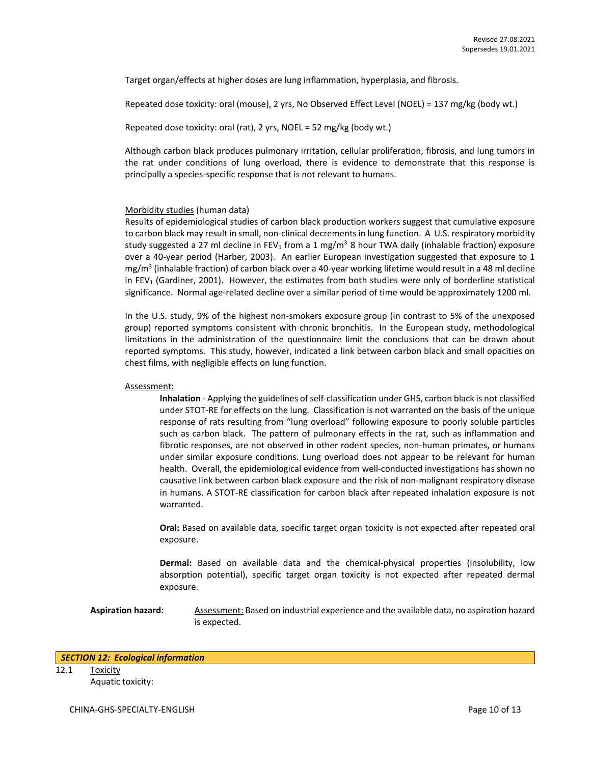Target organ/effects at higher doses are lung inflammation, hyperplasia, and fibrosis.

Repeated dose toxicity: oral (mouse), 2 yrs, No Observed Effect Level (NOEL) = 137 mg/kg (body wt.)

Repeated dose toxicity: oral (rat), 2 yrs, NOEL = 52 mg/kg (body wt.)

Although carbon black produces pulmonary irritation, cellular proliferation, fibrosis, and lung tumors in the rat under conditions of lung overload, there is evidence to demonstrate that this response is principally a species-specific response that is not relevant to humans.

# Morbidity studies (human data)

Results of epidemiological studies of carbon black production workers suggest that cumulative exposure to carbon black may result in small, non-clinical decrements in lung function. A U.S. respiratory morbidity study suggested a 27 ml decline in FEV<sub>1</sub> from a 1 mg/m<sup>3</sup> 8 hour TWA daily (inhalable fraction) exposure over a 40-year period (Harber, 2003). An earlier European investigation suggested that exposure to 1 mg/m<sup>3</sup> (inhalable fraction) of carbon black over a 40-year working lifetime would result in a 48 ml decline in FEV<sub>1</sub> (Gardiner, 2001). However, the estimates from both studies were only of borderline statistical significance. Normal age-related decline over a similar period of time would be approximately 1200 ml.

In the U.S. study, 9% of the highest non-smokers exposure group (in contrast to 5% of the unexposed group) reported symptoms consistent with chronic bronchitis. In the European study, methodological limitations in the administration of the questionnaire limit the conclusions that can be drawn about reported symptoms. This study, however, indicated a link between carbon black and small opacities on chest films, with negligible effects on lung function.

## Assessment:

**Inhalation** - Applying the guidelines of self-classification under GHS, carbon black is not classified under STOT-RE for effects on the lung. Classification is not warranted on the basis of the unique response of rats resulting from "lung overload" following exposure to poorly soluble particles such as carbon black. The pattern of pulmonary effects in the rat, such as inflammation and fibrotic responses, are not observed in other rodent species, non-human primates, or humans under similar exposure conditions. Lung overload does not appear to be relevant for human health. Overall, the epidemiological evidence from well-conducted investigations has shown no causative link between carbon black exposure and the risk of non-malignant respiratory disease in humans. A STOT-RE classification for carbon black after repeated inhalation exposure is not warranted.

**Oral:** Based on available data, specific target organ toxicity is not expected after repeated oral exposure.

**Dermal:** Based on available data and the chemical-physical properties (insolubility, low absorption potential), specific target organ toxicity is not expected after repeated dermal exposure.

**Aspiration hazard:** Assessment: Based on industrial experience and the available data, no aspiration hazard is expected.

12.1 Toxicity Aquatic toxicity: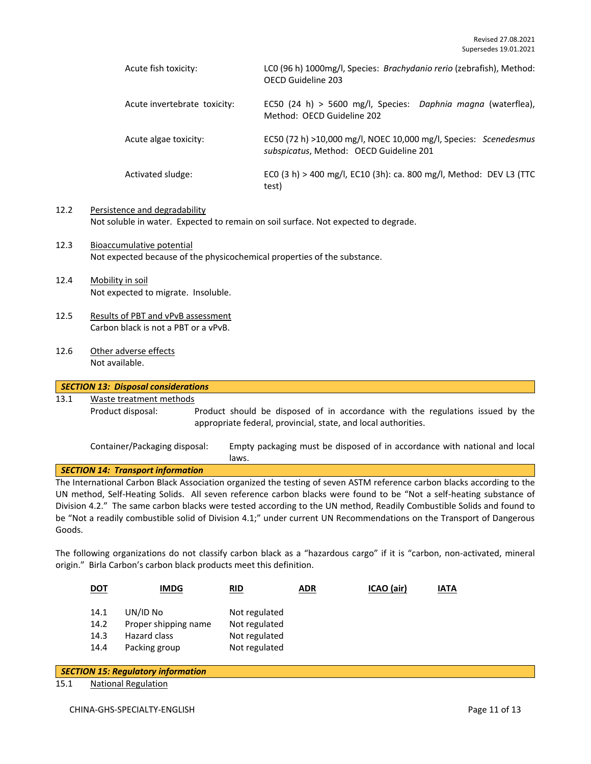| Acute fish toxicity:         | LC0 (96 h) 1000mg/l, Species: Brachydanio rerio (zebrafish), Method:<br>OECD Guideline 203                  |
|------------------------------|-------------------------------------------------------------------------------------------------------------|
| Acute invertebrate toxicity: | EC50 (24 h) > 5600 mg/l, Species: Daphnia magna (waterflea),<br>Method: OECD Guideline 202                  |
| Acute algae toxicity:        | EC50 (72 h) >10,000 mg/l, NOEC 10,000 mg/l, Species: Scenedesmus<br>subspicatus, Method: OECD Guideline 201 |
| Activated sludge:            | ECO (3 h) > 400 mg/l, EC10 (3h): ca. 800 mg/l, Method: DEV L3 (TTC<br>test)                                 |

# 12.2 Persistence and degradability Not soluble in water. Expected to remain on soil surface. Not expected to degrade.

laws.

- 12.3 Bioaccumulative potential Not expected because of the physicochemical properties of the substance.
- 12.4 Mobility in soil Not expected to migrate. Insoluble.
- 12.5 Results of PBT and vPvB assessment Carbon black is not a PBT or a vPvB.
- 12.6 Other adverse effects Not available.

# *SECTION 13: Disposal considerations*

## 13.1 Waste treatment methods

Product disposal: Product should be disposed of in accordance with the regulations issued by the appropriate federal, provincial, state, and local authorities.

Container/Packaging disposal: Empty packaging must be disposed of in accordance with national and local

# *SECTION 14: Transport information*

The International Carbon Black Association organized the testing of seven ASTM reference carbon blacks according to the UN method, Self-Heating Solids. All seven reference carbon blacks were found to be "Not a self-heating substance of Division 4.2." The same carbon blacks were tested according to the UN method, Readily Combustible Solids and found to be "Not a readily combustible solid of Division 4.1;" under current UN Recommendations on the Transport of Dangerous Goods.

The following organizations do not classify carbon black as a "hazardous cargo" if it is "carbon, non-activated, mineral origin." Birla Carbon's carbon black products meet this definition.

| <u>DOT</u> | <b>IMDG</b>          | <b>RID</b>    | <b>ADR</b> | ICAO (air) | <b>IATA</b> |
|------------|----------------------|---------------|------------|------------|-------------|
| 14.1       | UN/ID No             | Not regulated |            |            |             |
| 14.2       | Proper shipping name | Not regulated |            |            |             |
| 14.3       | Hazard class         | Not regulated |            |            |             |
| 14.4       | Packing group        | Not regulated |            |            |             |

|      | SECTION 15: Regulatory information |
|------|------------------------------------|
| 15.1 | <b>National Regulation</b>         |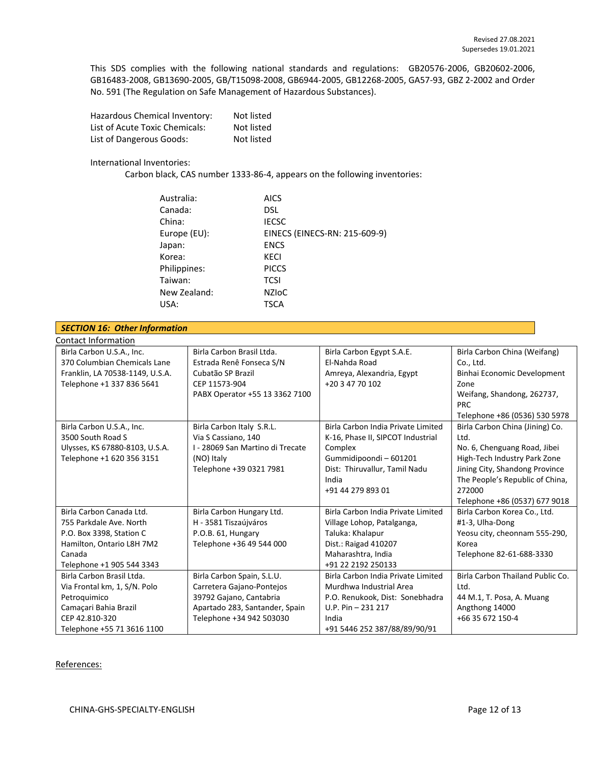This SDS complies with the following national standards and regulations: GB20576-2006, GB20602-2006, GB16483-2008, GB13690-2005, GB/T15098-2008, GB6944-2005, GB12268-2005, GA57-93, GBZ 2-2002 and Order No. 591 (The Regulation on Safe Management of Hazardous Substances).

| Hazardous Chemical Inventory:  | Not listed |
|--------------------------------|------------|
| List of Acute Toxic Chemicals: | Not listed |
| List of Dangerous Goods:       | Not listed |

## International Inventories:

Carbon black, CAS number 1333-86-4, appears on the following inventories:

| Australia:   | <b>AICS</b>                   |
|--------------|-------------------------------|
| Canada:      | DSL.                          |
| China:       | <b>IECSC</b>                  |
| Europe (EU): | EINECS (EINECS-RN: 215-609-9) |
| Japan:       | <b>ENCS</b>                   |
| Korea:       | KECI                          |
| Philippines: | <b>PICCS</b>                  |
| Taiwan:      | <b>TCSI</b>                   |
| New Zealand: | <b>NZIOC</b>                  |
| USA:         | TSCA                          |

| <b>SECTION 16: Other Information</b> |                                  |                                    |                                  |  |
|--------------------------------------|----------------------------------|------------------------------------|----------------------------------|--|
| <b>Contact Information</b>           |                                  |                                    |                                  |  |
| Birla Carbon U.S.A., Inc.            | Birla Carbon Brasil Ltda.        | Birla Carbon Egypt S.A.E.          | Birla Carbon China (Weifang)     |  |
| 370 Columbian Chemicals Lane         | Estrada Renê Fonseca S/N         | El-Nahda Road                      | Co., Ltd.                        |  |
| Franklin, LA 70538-1149, U.S.A.      | Cubatão SP Brazil                | Amreya, Alexandria, Egypt          | Binhai Economic Development      |  |
| Telephone +1 337 836 5641            | CEP 11573-904                    | +20 3 47 70 102                    | Zone                             |  |
|                                      | PABX Operator +55 13 3362 7100   |                                    | Weifang, Shandong, 262737,       |  |
|                                      |                                  |                                    | <b>PRC</b>                       |  |
|                                      |                                  |                                    | Telephone +86 (0536) 530 5978    |  |
| Birla Carbon U.S.A., Inc.            | Birla Carbon Italy S.R.L.        | Birla Carbon India Private Limited | Birla Carbon China (Jining) Co.  |  |
| 3500 South Road S                    | Via S Cassiano, 140              | K-16, Phase II, SIPCOT Industrial  | Ltd.                             |  |
| Ulysses, KS 67880-8103, U.S.A.       | I - 28069 San Martino di Trecate | Complex                            | No. 6, Chenguang Road, Jibei     |  |
| Telephone +1 620 356 3151            | (NO) Italy                       | Gummidipoondi-601201               | High-Tech Industry Park Zone     |  |
|                                      | Telephone +39 0321 7981          | Dist: Thiruvallur, Tamil Nadu      | Jining City, Shandong Province   |  |
|                                      |                                  | India                              | The People's Republic of China,  |  |
|                                      |                                  | +91 44 279 893 01                  | 272000                           |  |
|                                      |                                  |                                    | Telephone +86 (0537) 677 9018    |  |
| Birla Carbon Canada Ltd.             | Birla Carbon Hungary Ltd.        | Birla Carbon India Private Limited | Birla Carbon Korea Co., Ltd.     |  |
| 755 Parkdale Ave. North              | H - 3581 Tiszaújváros            | Village Lohop, Patalganga,         | #1-3, Ulha-Dong                  |  |
| P.O. Box 3398, Station C             | P.O.B. 61, Hungary               | Taluka: Khalapur                   | Yeosu city, cheonnam 555-290,    |  |
| Hamilton, Ontario L8H 7M2            | Telephone +36 49 544 000         | Dist.: Raigad 410207               | Korea                            |  |
| Canada                               |                                  | Maharashtra, India                 | Telephone 82-61-688-3330         |  |
| Telephone +1 905 544 3343            |                                  | +91 22 2192 250133                 |                                  |  |
| Birla Carbon Brasil Ltda.            | Birla Carbon Spain, S.L.U.       | Birla Carbon India Private Limited | Birla Carbon Thailand Public Co. |  |
| Via Frontal km, 1, S/N. Polo         | Carretera Gajano-Pontejos        | Murdhwa Industrial Area            | Ltd.                             |  |
| Petroquimico                         | 39792 Gajano, Cantabria          | P.O. Renukook, Dist: Sonebhadra    | 44 M.1, T. Posa, A. Muang        |  |
| Camaçari Bahia Brazil                | Apartado 283, Santander, Spain   | $U.P. Pin - 231217$                | Angthong 14000                   |  |
| CEP 42.810-320                       | Telephone +34 942 503030         | India                              | +66 35 672 150-4                 |  |
| Telephone +55 71 3616 1100           |                                  | +91 5446 252 387/88/89/90/91       |                                  |  |

# References: